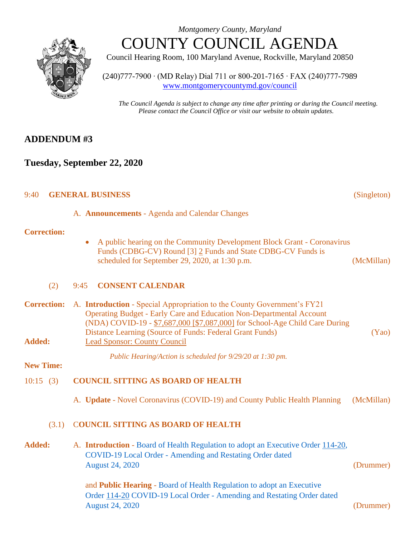



Council Hearing Room, 100 Maryland Avenue, Rockville, Maryland 20850

(240)777-7900 ∙ (MD Relay) Dial 711 or 800-201-7165 ∙ FAX (240)777-7989 [www.montgomerycountymd.gov/council](file:///C:/Documents%20and%20Settings/hernas01/Local%20Settings/Temporary%20Internet%20Files/Local%20Settings/Temporary%20Internet%20Files/OLK178/www.montgomerycountymd.gov/council)

*The Council Agenda is subject to change any time after printing or during the Council meeting. Please contact the Council Office or visit our website to obtain updates.*

# **ADDENDUM #3**

# **Tuesday, September 22, 2020**

# 9:40 **GENERAL BUSINESS** (Singleton)

A. **Announcements** - Agenda and Calendar Changes

### **Correction:**

• A public hearing on the Community Development Block Grant - Coronavirus Funds (CDBG-CV) Round [3] 2 Funds and State CDBG-CV Funds is scheduled for September 29, 2020, at 1:30 p.m. (McMillan)

### (2) 9:45 **CONSENT CALENDAR**

|               | <b>Correction:</b> A. <b>Introduction</b> - Special Appropriation to the County Government's FY21 |       |  |
|---------------|---------------------------------------------------------------------------------------------------|-------|--|
|               | <b>Operating Budget - Early Care and Education Non-Departmental Account</b>                       |       |  |
|               | (NDA) COVID-19 - \$7,687,000 [\$7,087,000] for School-Age Child Care During                       |       |  |
|               | Distance Learning (Source of Funds: Federal Grant Funds)                                          | (Yao) |  |
| <b>Added:</b> | <b>Lead Sponsor: County Council</b>                                                               |       |  |

*Public Hearing/Action is scheduled for 9/29/20 at 1:30 pm.*

**New Time:**

# 10:15 (3) **COUNCIL SITTING AS BOARD OF HEALTH**

A. **Update** - Novel Coronavirus (COVID-19) and County Public Health Planning (McMillan)

### (3.1) C**OUNCIL SITTING AS BOARD OF HEALTH**

**Added:** A. **Introduction** - [Board of Health Regulation to adopt an Executive Order 114-20,](https://www.montgomerycountymd.gov/council/Resources/Files/agenda/col/2020/20200922/20200922_3-1A-3-2.pdf) COVID-19 Local Order - [Amending and Restating Order dated](https://www.montgomerycountymd.gov/council/Resources/Files/agenda/col/2020/20200922/20200922_3-1A-3-2.pdf)  [August 24, 2020](https://www.montgomerycountymd.gov/council/Resources/Files/agenda/col/2020/20200922/20200922_3-1A-3-2.pdf) (Drummer)

> and **Public Hearing** - [Board of Health Regulation to adopt an Executive](https://www.montgomerycountymd.gov/council/Resources/Files/agenda/col/2020/20200922/20200922_3-1A-3-2.pdf)  Order 114-20 COVID-19 Local Order - [Amending and Restating Order dated](https://www.montgomerycountymd.gov/council/Resources/Files/agenda/col/2020/20200922/20200922_3-1A-3-2.pdf)  [August 24, 2020](https://www.montgomerycountymd.gov/council/Resources/Files/agenda/col/2020/20200922/20200922_3-1A-3-2.pdf) (Drummer)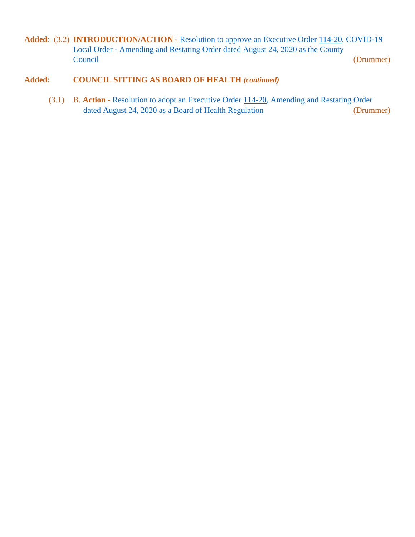Added: (3.2) **INTRODUCTION/ACTION** - [Resolution to approve an Executive Order](https://www.montgomerycountymd.gov/council/Resources/Files/agenda/col/2020/20200922/20200922_3-1A-3-2.pdf) 114-20, COVID-19 Local Order - [Amending and Restating Order dated August 24, 2020](https://www.montgomerycountymd.gov/council/Resources/Files/agenda/col/2020/20200922/20200922_3-1A-3-2.pdf) as the County [Council](https://www.montgomerycountymd.gov/council/Resources/Files/agenda/col/2020/20200922/20200922_3-1A-3-2.pdf) (Drummer)

### **Added: COUNCIL SITTING AS BOARD OF HEALTH** *(continued)*

(3.1) B. **Action** - Resolution to adopt an Executive Order [114-20, Amending and Restating Order](https://www.montgomerycountymd.gov/council/Resources/Files/agenda/col/2020/20200922/20200922_3-1A-3-2.pdf)  dated August 24, 2020 as a Board of Health Regulation (Drummer)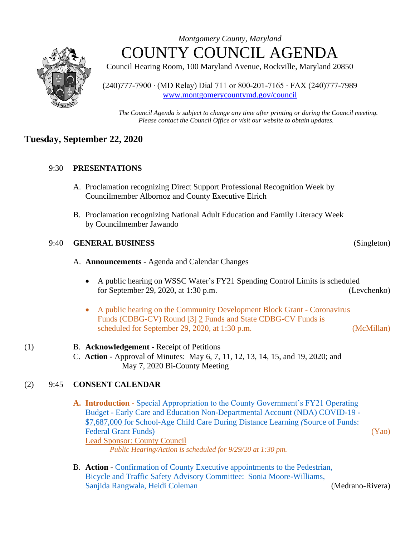

*Montgomery County, Maryland* COUNTY COUNCIL AGENDA

Council Hearing Room, 100 Maryland Avenue, Rockville, Maryland 20850

(240)777-7900 ∙ (MD Relay) Dial 711 or 800-201-7165 ∙ FAX (240)777-7989 [www.montgomerycountymd.gov/council](file:///C:/Documents%20and%20Settings/hernas01/Local%20Settings/Temporary%20Internet%20Files/Local%20Settings/Temporary%20Internet%20Files/OLK178/www.montgomerycountymd.gov/council)

*The Council Agenda is subject to change any time after printing or during the Council meeting. Please contact the Council Office or visit our website to obtain updates.*

## **Tuesday, September 22, 2020**

### 9:30 **PRESENTATIONS**

- A. Proclamation recognizing Direct Support Professional Recognition Week by Councilmember Albornoz and County Executive Elrich
- B. Proclamation recognizing National Adult Education and Family Literacy Week by Councilmember Jawando

#### 9:40 **GENERAL BUSINESS** (Singleton)

- A. **Announcements** Agenda and Calendar Changes
	- A public hearing on WSSC Water's FY21 Spending Control Limits is scheduled for September 29, 2020, at 1:30 p.m. (Levchenko)
	- A public hearing on the Community Development Block Grant Coronavirus Funds (CDBG-CV) Round [3] 2 Funds and State CDBG-CV Funds is scheduled for September 29, 2020, at 1:30 p.m. (McMillan)
- (1) B. **Acknowledgement**  Receipt of Petitions
	- C. **Action** Approval of Minutes: May 6, 7, 11, 12, 13, 14, 15, and 19, 2020; and May 7, 2020 Bi-County Meeting

#### (2) 9:45 **CONSENT CALENDAR**

- **A. Introduction** [Special Appropriation to the County Government's FY21 Operating](https://www.montgomerycountymd.gov/council/Resources/Files/agenda/col/2020/20200922/20200922_2A.pdf)  Budget - [Early Care and Education Non-Departmental Account \(NDA\) COVID-19 -](https://www.montgomerycountymd.gov/council/Resources/Files/agenda/col/2020/20200922/20200922_2A.pdf) \$7,687,000 [for School-Age Child Care During](https://www.montgomerycountymd.gov/council/Resources/Files/agenda/col/2020/20200922/20200922_2A.pdf) Distance Learning *(*Source of Funds: [Federal Grant Funds\)](https://www.montgomerycountymd.gov/council/Resources/Files/agenda/col/2020/20200922/20200922_2A.pdf) (Yao) Lead Sponsor: County Council *Public Hearing/Action is scheduled for 9/29/20 at 1:30 pm.*
- B. **Action** [Confirmation of County Executive appointments](https://www.montgomerycountymd.gov/council/Resources/Files/agenda/col/2020/20200922/20200922_2B-2D.pdf) to the Pedestrian, [Bicycle and Traffic Safety Advisory Committee: Sonia Moore-Williams,](https://www.montgomerycountymd.gov/council/Resources/Files/agenda/col/2020/20200922/20200922_2B-2D.pdf)  [Sanjida Rangwala, Heidi Coleman](https://www.montgomerycountymd.gov/council/Resources/Files/agenda/col/2020/20200922/20200922_2B-2D.pdf) (Medrano-Rivera)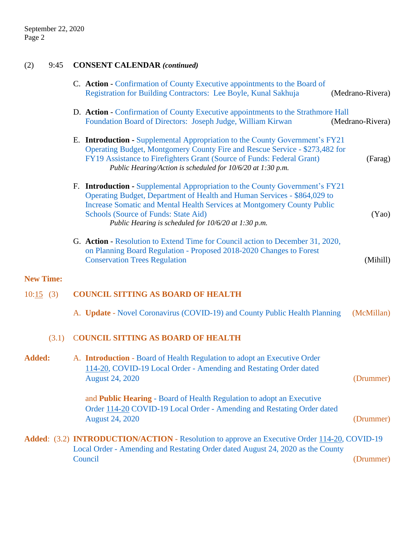# (2) 9:45 **CONSENT CALENDAR** *(continued)*

|                  | C. Action - Confirmation of County Executive appointments to the Board of<br>Registration for Building Contractors: Lee Boyle, Kunal Sakhuja                                                                                                                                                                                               | (Medrano-Rivera) |
|------------------|--------------------------------------------------------------------------------------------------------------------------------------------------------------------------------------------------------------------------------------------------------------------------------------------------------------------------------------------|------------------|
|                  | D. Action - Confirmation of County Executive appointments to the Strathmore Hall<br>Foundation Board of Directors: Joseph Judge, William Kirwan                                                                                                                                                                                            | (Medrano-Rivera) |
|                  | E. Introduction - Supplemental Appropriation to the County Government's FY21<br>Operating Budget, Montgomery County Fire and Rescue Service - \$273,482 for<br>FY19 Assistance to Firefighters Grant (Source of Funds: Federal Grant)<br>Public Hearing/Action is scheduled for 10/6/20 at 1:30 p.m.                                       | (Farag)          |
|                  | F. Introduction - Supplemental Appropriation to the County Government's FY21<br>Operating Budget, Department of Health and Human Services - \$864,029 to<br><b>Increase Somatic and Mental Health Services at Montgomery County Public</b><br>Schools (Source of Funds: State Aid)<br>Public Hearing is scheduled for 10/6/20 at 1:30 p.m. | (Yao)            |
|                  | G. Action - Resolution to Extend Time for Council action to December 31, 2020,<br>on Planning Board Regulation - Proposed 2018-2020 Changes to Forest<br><b>Conservation Trees Regulation</b>                                                                                                                                              | (Mihill)         |
| <b>New Time:</b> |                                                                                                                                                                                                                                                                                                                                            |                  |
| 10:15(3)         | <b>COUNCIL SITTING AS BOARD OF HEALTH</b>                                                                                                                                                                                                                                                                                                  |                  |
|                  | A. Update - Novel Coronavirus (COVID-19) and County Public Health Planning                                                                                                                                                                                                                                                                 | (McMillan)       |
| (3.1)            | <b>COUNCIL SITTING AS BOARD OF HEALTH</b>                                                                                                                                                                                                                                                                                                  |                  |
| <b>Added:</b>    | A. <b>Introduction</b> - Board of Health Regulation to adopt an Executive Order<br>114-20, COVID-19 Local Order - Amending and Restating Order dated<br><b>August 24, 2020</b>                                                                                                                                                             | (Drummer)        |
|                  | and <b>Public Hearing</b> - Board of Health Regulation to adopt an Executive<br>Order 114-20 COVID-19 Local Order - Amending and Restating Order dated<br><b>August 24, 2020</b>                                                                                                                                                           | (Drummer)        |
|                  | <b>Added:</b> (3.2) <b>INTRODUCTION/ACTION</b> - Resolution to approve an Executive Order 114-20, COVID-19                                                                                                                                                                                                                                 |                  |
|                  | Local Order - Amending and Restating Order dated August 24, 2020 as the County<br>Council                                                                                                                                                                                                                                                  | (Drummer)        |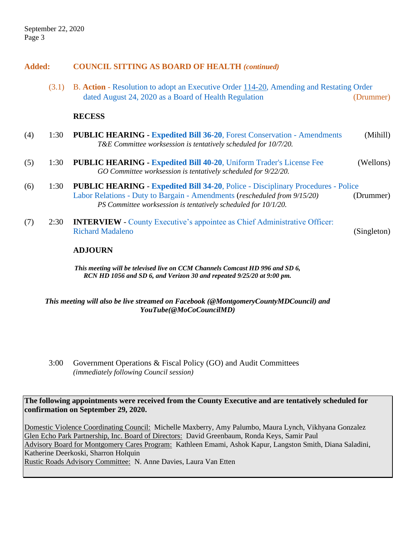#### **Added: COUNCIL SITTING AS BOARD OF HEALTH** *(continued)*

(3.1) B. **Action** - [Resolution to adopt an Executive Order 114-20, Amending and Restating Order](https://www.montgomerycountymd.gov/council/Resources/Files/agenda/col/2020/20200922/20200922_3-1A-3-2.pdf)   [dated August 24, 2020 as a Board of Health Regulation](https://www.montgomerycountymd.gov/council/Resources/Files/agenda/col/2020/20200922/20200922_3-1A-3-2.pdf) (Drummer)

#### **RECESS**

- (4) 1:30 **PUBLIC HEARING - Expedited Bill 36-20**[, Forest Conservation -](https://www.montgomerycountymd.gov/council/Resources/Files/agenda/col/2020/20200922/20200922_4.pdf) Amendments (Mihill) *T&E Committee worksession is tentatively scheduled for 10/7/20.*
- (5) 1:30 **PUBLIC HEARING - Expedited Bill 40-20**, [Uniform Trader's License Fee](https://www.montgomerycountymd.gov/council/Resources/Files/agenda/col/2020/20200922/20200922_5.pdf) (Wellons) *GO Committee worksession is tentatively scheduled for 9/22/20.*
- (6) 1:30 **PUBLIC HEARING Expedited Bill 34-20**, Police [Disciplinary Procedures -](https://www.montgomerycountymd.gov/council/Resources/Files/agenda/col/2020/20200922/20200922_6.pdf) Police Labor Relations - [Duty to Bargain -](https://www.montgomerycountymd.gov/council/Resources/Files/agenda/col/2020/20200922/20200922_6.pdf) Amendments (*rescheduled from 9/15/20)* (Drummer) *PS Committee worksession is tentatively scheduled for 10/1/20.*
- (7) 2:30 **INTERVIEW** [County Executive's appointee as Chief Administrative Officer:](https://www.montgomerycountymd.gov/council/Resources/Files/agenda/col/2020/20200922/20200922_7.pdf)  [Richard Madaleno](https://www.montgomerycountymd.gov/council/Resources/Files/agenda/col/2020/20200922/20200922_7.pdf) (Singleton)

#### **ADJOURN**

*This meeting will be televised live on CCM Channels Comcast HD 996 and SD 6, RCN HD 1056 and SD 6, and Verizon 30 and repeated 9/25/20 at 9:00 pm.*

*This meeting will also be live streamed on Facebook (@MontgomeryCountyMDCouncil) and YouTube(@MoCoCouncilMD)*

3:00 Government Operations & Fiscal Policy (GO) and Audit Committees *(immediately following Council session)*

**The following appointments were received from the County Executive and are tentatively scheduled for confirmation on September 29, 2020.**

Domestic Violence Coordinating Council: Michelle Maxberry, Amy Palumbo, Maura Lynch, Vikhyana Gonzalez Glen Echo Park Partnership, Inc. Board of Directors: David Greenbaum, Ronda Keys, Samir Paul Advisory Board for Montgomery Cares Program: Kathleen Emami, Ashok Kapur, Langston Smith, Diana Saladini, Katherine Deerkoski, Sharron Holquin Rustic Roads Advisory Committee: N. Anne Davies, Laura Van Etten